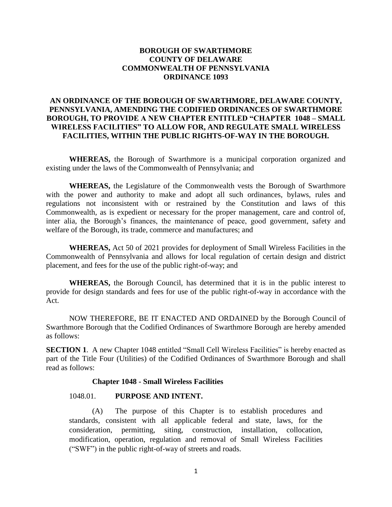# **BOROUGH OF SWARTHMORE COUNTY OF DELAWARE COMMONWEALTH OF PENNSYLVANIA ORDINANCE 1093**

# **AN ORDINANCE OF THE BOROUGH OF SWARTHMORE, DELAWARE COUNTY, PENNSYLVANIA, AMENDING THE CODIFIED ORDINANCES OF SWARTHMORE BOROUGH, TO PROVIDE A NEW CHAPTER ENTITLED "CHAPTER 1048 – SMALL WIRELESS FACILITIES" TO ALLOW FOR, AND REGULATE SMALL WIRELESS FACILITIES, WITHIN THE PUBLIC RIGHTS-OF-WAY IN THE BOROUGH.**

**WHEREAS,** the Borough of Swarthmore is a municipal corporation organized and existing under the laws of the Commonwealth of Pennsylvania; and

**WHEREAS,** the Legislature of the Commonwealth vests the Borough of Swarthmore with the power and authority to make and adopt all such ordinances, bylaws, rules and regulations not inconsistent with or restrained by the Constitution and laws of this Commonwealth, as is expedient or necessary for the proper management, care and control of, inter alia, the Borough's finances, the maintenance of peace, good government, safety and welfare of the Borough, its trade, commerce and manufactures; and

**WHEREAS,** Act 50 of 2021 provides for deployment of Small Wireless Facilities in the Commonwealth of Pennsylvania and allows for local regulation of certain design and district placement, and fees for the use of the public right-of-way; and

**WHEREAS,** the Borough Council, has determined that it is in the public interest to provide for design standards and fees for use of the public right-of-way in accordance with the Act.

NOW THEREFORE, BE IT ENACTED AND ORDAINED by the Borough Council of Swarthmore Borough that the Codified Ordinances of Swarthmore Borough are hereby amended as follows:

**SECTION 1.** A new Chapter 1048 entitled "Small Cell Wireless Facilities" is hereby enacted as part of the Title Four (Utilities) of the Codified Ordinances of Swarthmore Borough and shall read as follows:

### **Chapter 1048 - Small Wireless Facilities**

#### 1048.01. **PURPOSE AND INTENT.**

(A) The purpose of this Chapter is to establish procedures and standards, consistent with all applicable federal and state, laws, for the consideration, permitting, siting, construction, installation, collocation, modification, operation, regulation and removal of Small Wireless Facilities ("SWF") in the public right-of-way of streets and roads.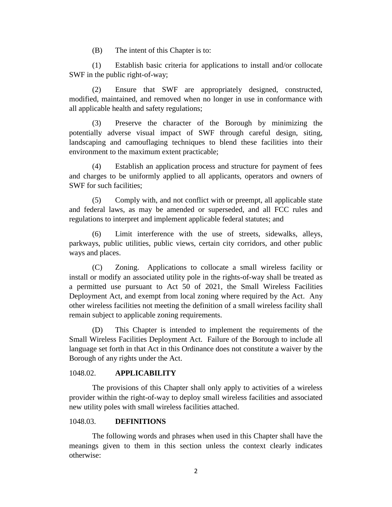(B) The intent of this Chapter is to:

(1) Establish basic criteria for applications to install and/or collocate SWF in the public right-of-way;

(2) Ensure that SWF are appropriately designed, constructed, modified, maintained, and removed when no longer in use in conformance with all applicable health and safety regulations;

(3) Preserve the character of the Borough by minimizing the potentially adverse visual impact of SWF through careful design, siting, landscaping and camouflaging techniques to blend these facilities into their environment to the maximum extent practicable;

(4) Establish an application process and structure for payment of fees and charges to be uniformly applied to all applicants, operators and owners of SWF for such facilities;

(5) Comply with, and not conflict with or preempt, all applicable state and federal laws, as may be amended or superseded, and all FCC rules and regulations to interpret and implement applicable federal statutes; and

(6) Limit interference with the use of streets, sidewalks, alleys, parkways, public utilities, public views, certain city corridors, and other public ways and places.

(C) Zoning. Applications to collocate a small wireless facility or install or modify an associated utility pole in the rights-of-way shall be treated as a permitted use pursuant to Act 50 of 2021, the Small Wireless Facilities Deployment Act, and exempt from local zoning where required by the Act. Any other wireless facilities not meeting the definition of a small wireless facility shall remain subject to applicable zoning requirements.

(D) This Chapter is intended to implement the requirements of the Small Wireless Facilities Deployment Act. Failure of the Borough to include all language set forth in that Act in this Ordinance does not constitute a waiver by the Borough of any rights under the Act.

# 1048.02. **APPLICABILITY**

The provisions of this Chapter shall only apply to activities of a wireless provider within the right-of-way to deploy small wireless facilities and associated new utility poles with small wireless facilities attached.

# 1048.03. **DEFINITIONS**

The following words and phrases when used in this Chapter shall have the meanings given to them in this section unless the context clearly indicates otherwise: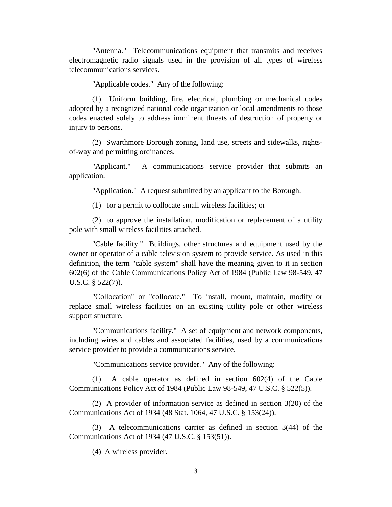"Antenna." Telecommunications equipment that transmits and receives electromagnetic radio signals used in the provision of all types of wireless telecommunications services.

"Applicable codes." Any of the following:

(1) Uniform building, fire, electrical, plumbing or mechanical codes adopted by a recognized national code organization or local amendments to those codes enacted solely to address imminent threats of destruction of property or injury to persons.

(2) Swarthmore Borough zoning, land use, streets and sidewalks, rightsof-way and permitting ordinances.

"Applicant." A communications service provider that submits an application.

"Application." A request submitted by an applicant to the Borough.

(1) for a permit to collocate small wireless facilities; or

(2) to approve the installation, modification or replacement of a utility pole with small wireless facilities attached.

"Cable facility." Buildings, other structures and equipment used by the owner or operator of a cable television system to provide service. As used in this definition, the term "cable system" shall have the meaning given to it in section 602(6) of the Cable Communications Policy Act of 1984 (Public Law 98-549, 47 U.S.C. § 522(7)).

"Collocation" or "collocate." To install, mount, maintain, modify or replace small wireless facilities on an existing utility pole or other wireless support structure.

"Communications facility." A set of equipment and network components, including wires and cables and associated facilities, used by a communications service provider to provide a communications service.

"Communications service provider." Any of the following:

(1) A cable operator as defined in section 602(4) of the Cable Communications Policy Act of 1984 (Public Law 98-549, 47 U.S.C. § 522(5)).

(2) A provider of information service as defined in section 3(20) of the Communications Act of 1934 (48 Stat. 1064, 47 U.S.C. § 153(24)).

(3) A telecommunications carrier as defined in section 3(44) of the Communications Act of 1934 (47 U.S.C. § 153(51)).

(4) A wireless provider.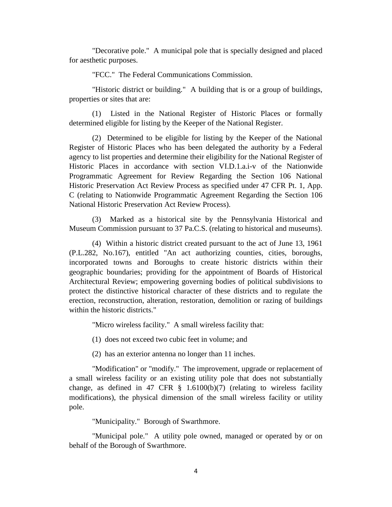"Decorative pole." A municipal pole that is specially designed and placed for aesthetic purposes.

"FCC." The Federal Communications Commission.

"Historic district or building." A building that is or a group of buildings, properties or sites that are:

(1) Listed in the National Register of Historic Places or formally determined eligible for listing by the Keeper of the National Register.

(2) Determined to be eligible for listing by the Keeper of the National Register of Historic Places who has been delegated the authority by a Federal agency to list properties and determine their eligibility for the National Register of Historic Places in accordance with section VI.D.1.a.i-v of the Nationwide Programmatic Agreement for Review Regarding the Section 106 National Historic Preservation Act Review Process as specified under 47 CFR Pt. 1, App. C (relating to Nationwide Programmatic Agreement Regarding the Section 106 National Historic Preservation Act Review Process).

(3) Marked as a historical site by the Pennsylvania Historical and Museum Commission pursuant to 37 Pa.C.S. (relating to historical and museums).

(4) Within a historic district created pursuant to the act of June 13, 1961 (P.L.282, No.167), entitled "An act authorizing counties, cities, boroughs, incorporated towns and Boroughs to create historic districts within their geographic boundaries; providing for the appointment of Boards of Historical Architectural Review; empowering governing bodies of political subdivisions to protect the distinctive historical character of these districts and to regulate the erection, reconstruction, alteration, restoration, demolition or razing of buildings within the historic districts."

"Micro wireless facility." A small wireless facility that:

(1) does not exceed two cubic feet in volume; and

(2) has an exterior antenna no longer than 11 inches.

"Modification" or "modify." The improvement, upgrade or replacement of a small wireless facility or an existing utility pole that does not substantially change, as defined in 47 CFR  $\S$  1.6100(b)(7) (relating to wireless facility modifications), the physical dimension of the small wireless facility or utility pole.

"Municipality." Borough of Swarthmore.

"Municipal pole." A utility pole owned, managed or operated by or on behalf of the Borough of Swarthmore.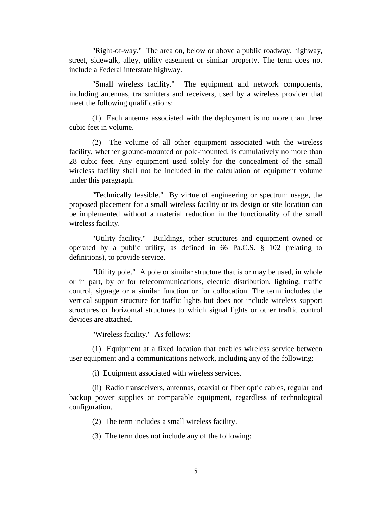"Right-of-way." The area on, below or above a public roadway, highway, street, sidewalk, alley, utility easement or similar property. The term does not include a Federal interstate highway.

"Small wireless facility." The equipment and network components, including antennas, transmitters and receivers, used by a wireless provider that meet the following qualifications:

(1) Each antenna associated with the deployment is no more than three cubic feet in volume.

(2) The volume of all other equipment associated with the wireless facility, whether ground-mounted or pole-mounted, is cumulatively no more than 28 cubic feet. Any equipment used solely for the concealment of the small wireless facility shall not be included in the calculation of equipment volume under this paragraph.

"Technically feasible." By virtue of engineering or spectrum usage, the proposed placement for a small wireless facility or its design or site location can be implemented without a material reduction in the functionality of the small wireless facility.

"Utility facility." Buildings, other structures and equipment owned or operated by a public utility, as defined in 66 Pa.C.S. § 102 (relating to definitions), to provide service.

"Utility pole." A pole or similar structure that is or may be used, in whole or in part, by or for telecommunications, electric distribution, lighting, traffic control, signage or a similar function or for collocation. The term includes the vertical support structure for traffic lights but does not include wireless support structures or horizontal structures to which signal lights or other traffic control devices are attached.

"Wireless facility." As follows:

(1) Equipment at a fixed location that enables wireless service between user equipment and a communications network, including any of the following:

(i) Equipment associated with wireless services.

(ii) Radio transceivers, antennas, coaxial or fiber optic cables, regular and backup power supplies or comparable equipment, regardless of technological configuration.

(2) The term includes a small wireless facility.

(3) The term does not include any of the following: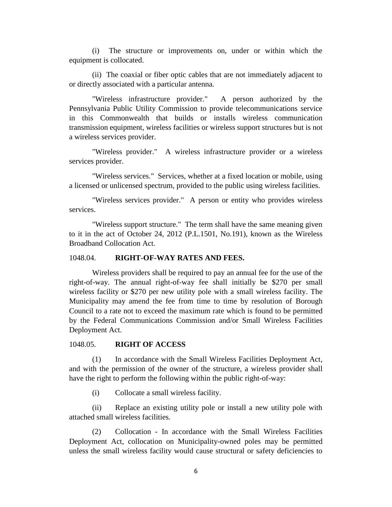(i) The structure or improvements on, under or within which the equipment is collocated.

(ii) The coaxial or fiber optic cables that are not immediately adjacent to or directly associated with a particular antenna.

"Wireless infrastructure provider." A person authorized by the Pennsylvania Public Utility Commission to provide telecommunications service in this Commonwealth that builds or installs wireless communication transmission equipment, wireless facilities or wireless support structures but is not a wireless services provider.

"Wireless provider." A wireless infrastructure provider or a wireless services provider.

"Wireless services." Services, whether at a fixed location or mobile, using a licensed or unlicensed spectrum, provided to the public using wireless facilities.

"Wireless services provider." A person or entity who provides wireless services.

"Wireless support structure." The term shall have the same meaning given to it in the act of October 24, 2012 (P.L.1501, No.191), known as the Wireless Broadband Collocation Act.

#### 1048.04. **RIGHT-OF-WAY RATES AND FEES.**

Wireless providers shall be required to pay an annual fee for the use of the right-of-way. The annual right-of-way fee shall initially be \$270 per small wireless facility or \$270 per new utility pole with a small wireless facility. The Municipality may amend the fee from time to time by resolution of Borough Council to a rate not to exceed the maximum rate which is found to be permitted by the Federal Communications Commission and/or Small Wireless Facilities Deployment Act.

### 1048.05. **RIGHT OF ACCESS**

(1) In accordance with the Small Wireless Facilities Deployment Act, and with the permission of the owner of the structure, a wireless provider shall have the right to perform the following within the public right-of-way:

(i) Collocate a small wireless facility.

(ii) Replace an existing utility pole or install a new utility pole with attached small wireless facilities.

(2) Collocation - In accordance with the Small Wireless Facilities Deployment Act, collocation on Municipality-owned poles may be permitted unless the small wireless facility would cause structural or safety deficiencies to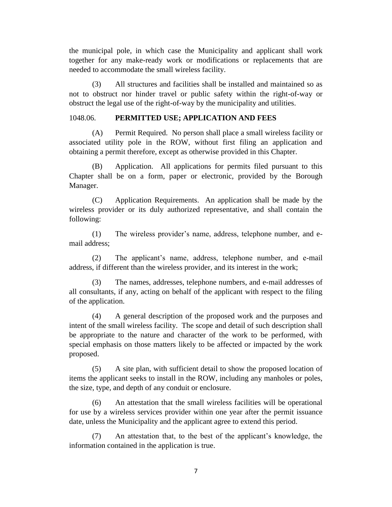the municipal pole, in which case the Municipality and applicant shall work together for any make-ready work or modifications or replacements that are needed to accommodate the small wireless facility.

(3) All structures and facilities shall be installed and maintained so as not to obstruct nor hinder travel or public safety within the right-of-way or obstruct the legal use of the right-of-way by the municipality and utilities.

### 1048.06. **PERMITTED USE; APPLICATION AND FEES**

(A) Permit Required. No person shall place a small wireless facility or associated utility pole in the ROW, without first filing an application and obtaining a permit therefore, except as otherwise provided in this Chapter.

(B) Application. All applications for permits filed pursuant to this Chapter shall be on a form, paper or electronic, provided by the Borough Manager.

(C) Application Requirements. An application shall be made by the wireless provider or its duly authorized representative, and shall contain the following:

(1) The wireless provider's name, address, telephone number, and email address;

(2) The applicant's name, address, telephone number, and e-mail address, if different than the wireless provider, and its interest in the work;

(3) The names, addresses, telephone numbers, and e-mail addresses of all consultants, if any, acting on behalf of the applicant with respect to the filing of the application.

(4) A general description of the proposed work and the purposes and intent of the small wireless facility. The scope and detail of such description shall be appropriate to the nature and character of the work to be performed, with special emphasis on those matters likely to be affected or impacted by the work proposed.

(5) A site plan, with sufficient detail to show the proposed location of items the applicant seeks to install in the ROW, including any manholes or poles, the size, type, and depth of any conduit or enclosure.

(6) An attestation that the small wireless facilities will be operational for use by a wireless services provider within one year after the permit issuance date, unless the Municipality and the applicant agree to extend this period.

(7) An attestation that, to the best of the applicant's knowledge, the information contained in the application is true.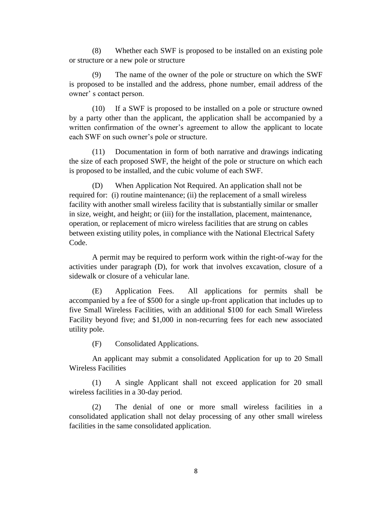(8) Whether each SWF is proposed to be installed on an existing pole or structure or a new pole or structure

(9) The name of the owner of the pole or structure on which the SWF is proposed to be installed and the address, phone number, email address of the owner' s contact person.

(10) If a SWF is proposed to be installed on a pole or structure owned by a party other than the applicant, the application shall be accompanied by a written confirmation of the owner's agreement to allow the applicant to locate each SWF on such owner's pole or structure.

(11) Documentation in form of both narrative and drawings indicating the size of each proposed SWF, the height of the pole or structure on which each is proposed to be installed, and the cubic volume of each SWF.

(D) When Application Not Required. An application shall not be required for: (i) routine maintenance; (ii) the replacement of a small wireless facility with another small wireless facility that is substantially similar or smaller in size, weight, and height; or (iii) for the installation, placement, maintenance, operation, or replacement of micro wireless facilities that are strung on cables between existing utility poles, in compliance with the National Electrical Safety Code.

A permit may be required to perform work within the right-of-way for the activities under paragraph (D), for work that involves excavation, closure of a sidewalk or closure of a vehicular lane.

(E) Application Fees. All applications for permits shall be accompanied by a fee of \$500 for a single up-front application that includes up to five Small Wireless Facilities, with an additional \$100 for each Small Wireless Facility beyond five; and \$1,000 in non-recurring fees for each new associated utility pole.

(F) Consolidated Applications.

An applicant may submit a consolidated Application for up to 20 Small Wireless Facilities

(1) A single Applicant shall not exceed application for 20 small wireless facilities in a 30-day period.

(2) The denial of one or more small wireless facilities in a consolidated application shall not delay processing of any other small wireless facilities in the same consolidated application.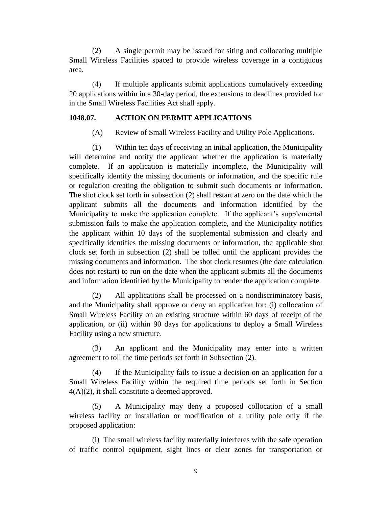(2) A single permit may be issued for siting and collocating multiple Small Wireless Facilities spaced to provide wireless coverage in a contiguous area.

(4) If multiple applicants submit applications cumulatively exceeding 20 applications within in a 30-day period, the extensions to deadlines provided for in the Small Wireless Facilities Act shall apply.

### **1048.07. ACTION ON PERMIT APPLICATIONS**

(A) Review of Small Wireless Facility and Utility Pole Applications.

(1) Within ten days of receiving an initial application, the Municipality will determine and notify the applicant whether the application is materially complete. If an application is materially incomplete, the Municipality will specifically identify the missing documents or information, and the specific rule or regulation creating the obligation to submit such documents or information. The shot clock set forth in subsection (2) shall restart at zero on the date which the applicant submits all the documents and information identified by the Municipality to make the application complete. If the applicant's supplemental submission fails to make the application complete, and the Municipality notifies the applicant within 10 days of the supplemental submission and clearly and specifically identifies the missing documents or information, the applicable shot clock set forth in subsection (2) shall be tolled until the applicant provides the missing documents and information. The shot clock resumes (the date calculation does not restart) to run on the date when the applicant submits all the documents and information identified by the Municipality to render the application complete.

(2) All applications shall be processed on a nondiscriminatory basis, and the Municipality shall approve or deny an application for: (i) collocation of Small Wireless Facility on an existing structure within 60 days of receipt of the application, or (ii) within 90 days for applications to deploy a Small Wireless Facility using a new structure.

(3) An applicant and the Municipality may enter into a written agreement to toll the time periods set forth in Subsection (2).

(4) If the Municipality fails to issue a decision on an application for a Small Wireless Facility within the required time periods set forth in Section  $4(A)(2)$ , it shall constitute a deemed approved.

(5) A Municipality may deny a proposed collocation of a small wireless facility or installation or modification of a utility pole only if the proposed application:

(i) The small wireless facility materially interferes with the safe operation of traffic control equipment, sight lines or clear zones for transportation or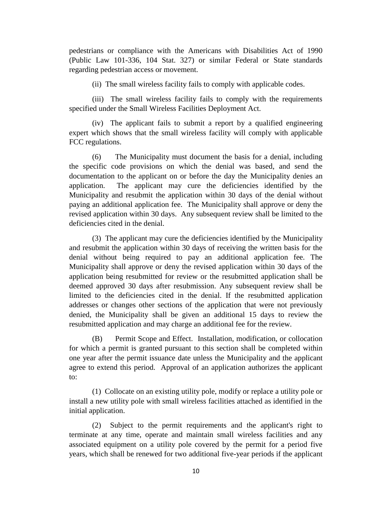pedestrians or compliance with the Americans with Disabilities Act of 1990 (Public Law 101-336, 104 Stat. 327) or similar Federal or State standards regarding pedestrian access or movement.

(ii) The small wireless facility fails to comply with applicable codes.

(iii) The small wireless facility fails to comply with the requirements specified under the Small Wireless Facilities Deployment Act.

(iv) The applicant fails to submit a report by a qualified engineering expert which shows that the small wireless facility will comply with applicable FCC regulations.

(6) The Municipality must document the basis for a denial, including the specific code provisions on which the denial was based, and send the documentation to the applicant on or before the day the Municipality denies an application. The applicant may cure the deficiencies identified by the Municipality and resubmit the application within 30 days of the denial without paying an additional application fee. The Municipality shall approve or deny the revised application within 30 days. Any subsequent review shall be limited to the deficiencies cited in the denial.

(3) The applicant may cure the deficiencies identified by the Municipality and resubmit the application within 30 days of receiving the written basis for the denial without being required to pay an additional application fee. The Municipality shall approve or deny the revised application within 30 days of the application being resubmitted for review or the resubmitted application shall be deemed approved 30 days after resubmission. Any subsequent review shall be limited to the deficiencies cited in the denial. If the resubmitted application addresses or changes other sections of the application that were not previously denied, the Municipality shall be given an additional 15 days to review the resubmitted application and may charge an additional fee for the review.

(B) Permit Scope and Effect. Installation, modification, or collocation for which a permit is granted pursuant to this section shall be completed within one year after the permit issuance date unless the Municipality and the applicant agree to extend this period. Approval of an application authorizes the applicant to:

(1) Collocate on an existing utility pole, modify or replace a utility pole or install a new utility pole with small wireless facilities attached as identified in the initial application.

(2) Subject to the permit requirements and the applicant's right to terminate at any time, operate and maintain small wireless facilities and any associated equipment on a utility pole covered by the permit for a period five years, which shall be renewed for two additional five-year periods if the applicant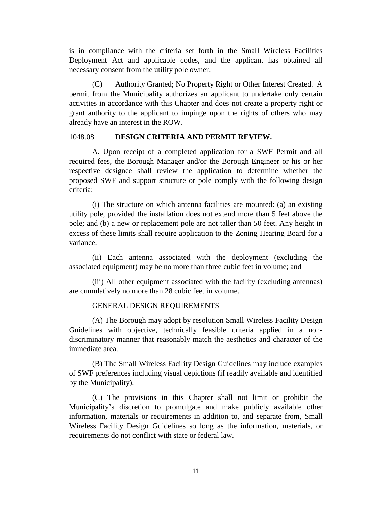is in compliance with the criteria set forth in the Small Wireless Facilities Deployment Act and applicable codes, and the applicant has obtained all necessary consent from the utility pole owner.

(C) Authority Granted; No Property Right or Other Interest Created. A permit from the Municipality authorizes an applicant to undertake only certain activities in accordance with this Chapter and does not create a property right or grant authority to the applicant to impinge upon the rights of others who may already have an interest in the ROW.

### 1048.08. **DESIGN CRITERIA AND PERMIT REVIEW.**

A. Upon receipt of a completed application for a SWF Permit and all required fees, the Borough Manager and/or the Borough Engineer or his or her respective designee shall review the application to determine whether the proposed SWF and support structure or pole comply with the following design criteria:

(i) The structure on which antenna facilities are mounted: (a) an existing utility pole, provided the installation does not extend more than 5 feet above the pole; and (b) a new or replacement pole are not taller than 50 feet. Any height in excess of these limits shall require application to the Zoning Hearing Board for a variance.

(ii) Each antenna associated with the deployment (excluding the associated equipment) may be no more than three cubic feet in volume; and

(iii) All other equipment associated with the facility (excluding antennas) are cumulatively no more than 28 cubic feet in volume.

### GENERAL DESIGN REQUIREMENTS

(A) The Borough may adopt by resolution Small Wireless Facility Design Guidelines with objective, technically feasible criteria applied in a nondiscriminatory manner that reasonably match the aesthetics and character of the immediate area.

(B) The Small Wireless Facility Design Guidelines may include examples of SWF preferences including visual depictions (if readily available and identified by the Municipality).

(C) The provisions in this Chapter shall not limit or prohibit the Municipality's discretion to promulgate and make publicly available other information, materials or requirements in addition to, and separate from, Small Wireless Facility Design Guidelines so long as the information, materials, or requirements do not conflict with state or federal law.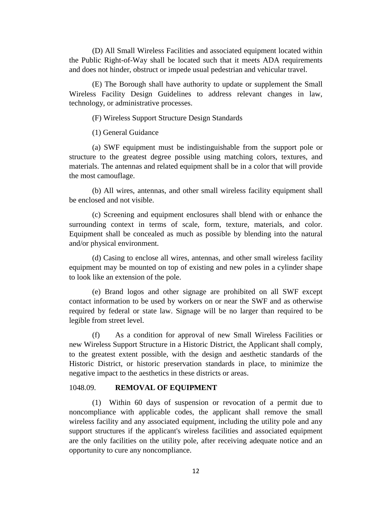(D) All Small Wireless Facilities and associated equipment located within the Public Right-of-Way shall be located such that it meets ADA requirements and does not hinder, obstruct or impede usual pedestrian and vehicular travel.

(E) The Borough shall have authority to update or supplement the Small Wireless Facility Design Guidelines to address relevant changes in law, technology, or administrative processes.

(F) Wireless Support Structure Design Standards

(1) General Guidance

(a) SWF equipment must be indistinguishable from the support pole or structure to the greatest degree possible using matching colors, textures, and materials. The antennas and related equipment shall be in a color that will provide the most camouflage.

(b) All wires, antennas, and other small wireless facility equipment shall be enclosed and not visible.

(c) Screening and equipment enclosures shall blend with or enhance the surrounding context in terms of scale, form, texture, materials, and color. Equipment shall be concealed as much as possible by blending into the natural and/or physical environment.

(d) Casing to enclose all wires, antennas, and other small wireless facility equipment may be mounted on top of existing and new poles in a cylinder shape to look like an extension of the pole.

(e) Brand logos and other signage are prohibited on all SWF except contact information to be used by workers on or near the SWF and as otherwise required by federal or state law. Signage will be no larger than required to be legible from street level.

(f) As a condition for approval of new Small Wireless Facilities or new Wireless Support Structure in a Historic District, the Applicant shall comply, to the greatest extent possible, with the design and aesthetic standards of the Historic District, or historic preservation standards in place, to minimize the negative impact to the aesthetics in these districts or areas.

### 1048.09. **REMOVAL OF EQUIPMENT**

(1) Within 60 days of suspension or revocation of a permit due to noncompliance with applicable codes, the applicant shall remove the small wireless facility and any associated equipment, including the utility pole and any support structures if the applicant's wireless facilities and associated equipment are the only facilities on the utility pole, after receiving adequate notice and an opportunity to cure any noncompliance.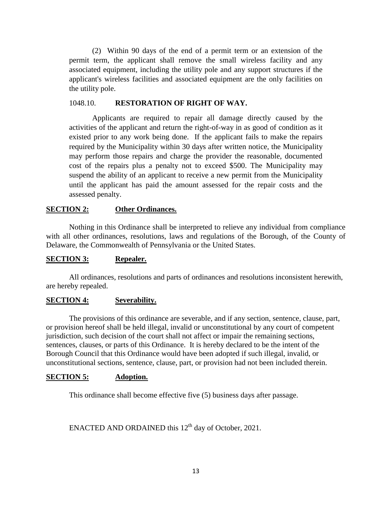(2) Within 90 days of the end of a permit term or an extension of the permit term, the applicant shall remove the small wireless facility and any associated equipment, including the utility pole and any support structures if the applicant's wireless facilities and associated equipment are the only facilities on the utility pole.

### 1048.10. **RESTORATION OF RIGHT OF WAY.**

Applicants are required to repair all damage directly caused by the activities of the applicant and return the right-of-way in as good of condition as it existed prior to any work being done. If the applicant fails to make the repairs required by the Municipality within 30 days after written notice, the Municipality may perform those repairs and charge the provider the reasonable, documented cost of the repairs plus a penalty not to exceed \$500. The Municipality may suspend the ability of an applicant to receive a new permit from the Municipality until the applicant has paid the amount assessed for the repair costs and the assessed penalty.

# **SECTION 2: Other Ordinances.**

Nothing in this Ordinance shall be interpreted to relieve any individual from compliance with all other ordinances, resolutions, laws and regulations of the Borough, of the County of Delaware, the Commonwealth of Pennsylvania or the United States.

### **SECTION 3: Repealer.**

All ordinances, resolutions and parts of ordinances and resolutions inconsistent herewith, are hereby repealed.

# **SECTION 4: Severability.**

The provisions of this ordinance are severable, and if any section, sentence, clause, part, or provision hereof shall be held illegal, invalid or unconstitutional by any court of competent jurisdiction, such decision of the court shall not affect or impair the remaining sections, sentences, clauses, or parts of this Ordinance. It is hereby declared to be the intent of the Borough Council that this Ordinance would have been adopted if such illegal, invalid, or unconstitutional sections, sentence, clause, part, or provision had not been included therein.

### **SECTION 5: Adoption.**

This ordinance shall become effective five (5) business days after passage.

ENACTED AND ORDAINED this  $12<sup>th</sup>$  day of October, 2021.